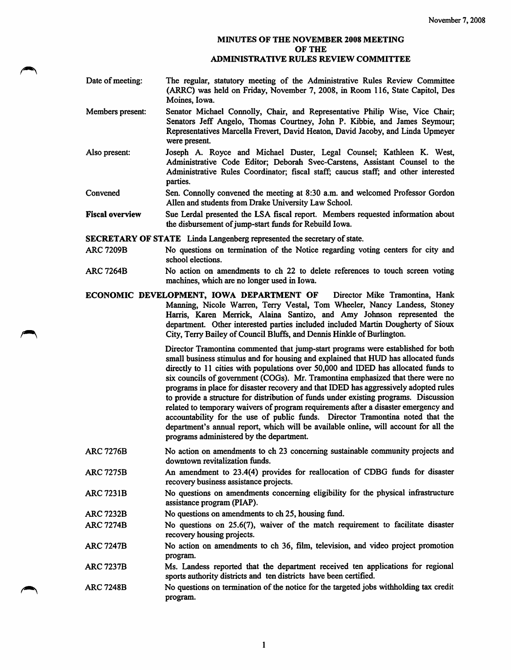## MINUTES OF THE NOVEMBER 2008 MEETING OF THE ADMINISTRATIVE RULES REVIEW COMMITTEE

- Date of meeting: The regular, statutory meeting of the Administrative Rules Review Committee (ARRC) was held on Friday, November 7, 2008, in Room 116, State Capitol, Des Moines, Iowa.
- Members present; Senator Michael Connolly, Chair, and Representative Philip Wise, Vice Chair; Senators Jeff Angelo, Thomas Courtney, John P. Kibbie, and James Seymour; Representatives Marcella Frevert, David Heaton, David Jacoby, and Linda Upmeyer were present
- Also present: Joseph A. Royce and Michael Duster, Legal Counsel; Kathleen K. West, Administrative Code Editor; Deborah Svec-Carstens, Assistant Counsel to the Administrative Rules Coordinator; fiscal staff; caucus staff; and other interested parties.
- Convened Sen. Connolly convened the meeting at 8:30 a.m. and welcomed Professor Gordon Allen and students from Drake University Law School.
- Fiscal overview Sue Lerdal presented the LSA fiscal report. Members requested information about the disbursement of jump-start funds for Rebuild Iowa.

SECRETARY OF STATE Linda Langenberg represented the secretary of state.

- ARC 7209B No questions on termination of the Notice regarding voting centers for city and school elections.
- ARC 7264B No action on amendments to ch 22 to delete references to touch screen voting machines, which are no longer used in Iowa.
- ECONOMIC DEVELOPMENT, IOWA DEPARTMENT OF Director Mike Tramontina, Hank Manning, Nicole Warren, Terry Vestal, Tom Wheeler, Nancy Landess, Stoney Harris, Karen Merrick, Alaina Santizo, and Amy Johnson represented the department. Other interested parties included included Martin Dougherty of Sioux City, Terry Bailey of Council Bluffs, and Dennis Hinkle of Burlington.

Director Tramontina commented that jump-start programs were established for both small business stimulus and for housing and explained that HUD has allocated funds directly to 11 cities with populations over 50,000 and IDED has allocated funds to six councils of government (COGs). Mr. Tramontina emphasized that there were no programs in place for disaster recovery and that IDED has aggressively adopted rules to provide a structure for distribution of funds under existing programs. Discussion related to temporary waivers of program requirements after a disaster emergency and accountability for the use of public funds. Director Tramontina noted that the department's annual report, which will be available online, will account for all the programs administered by the department.

- ARC 7276B No action on amendments to ch 23 concerning sustainable community projects and downtown revitalization funds.
- ARC7275B An amendment to 23.4(4) provides for reallocation of CDBG funds for disaster recovery business assistance projects.
- ARC 723IB No questions on amendments concerning eligibility for the physical infrastructure assistance program (PIAP).
- ARC 7232B No questions on amendments to ch 25, housing fund.
- ARC7274B No questions on 25.6(7), waiver of the match requirement to facilitate disaster recovery housing projects.
- ARC 7247B No action on amendments to ch 36, film, television, and video project promotion program.
- ARC7237B Ms. Landess reported that the department received ten applications for regional sports authority districts and ten districts have been certified.
- ARC 7248B No questions on termination of the notice for the targeted jobs withholding tax credit program.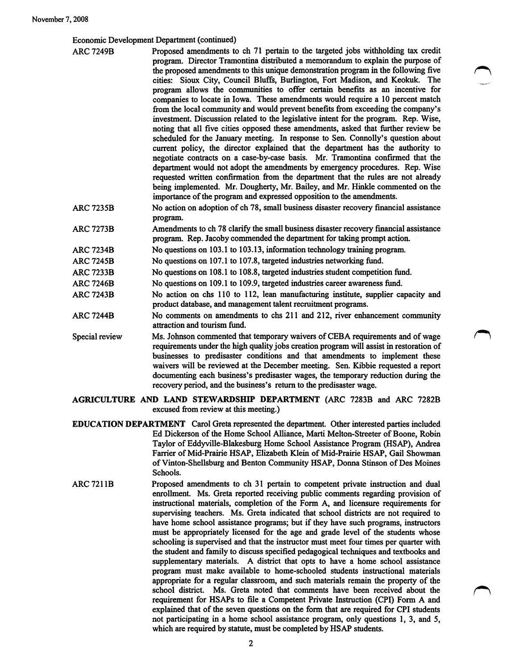## Economic Development Department (continued)

| <b>ARC 7249B</b> | Proposed amendments to ch 71 pertain to the targeted jobs withholding tax credit<br>program. Director Tramontina distributed a memorandum to explain the purpose of<br>the proposed amendments to this unique demonstration program in the following five<br>cities: Sioux City, Council Bluffs, Burlington, Fort Madison, and Keokuk. The<br>program allows the communities to offer certain benefits as an incentive for<br>companies to locate in Iowa. These amendments would require a 10 percent match<br>from the local community and would prevent benefits from exceeding the company's<br>investment. Discussion related to the legislative intent for the program. Rep. Wise,<br>noting that all five cities opposed these amendments, asked that further review be<br>scheduled for the January meeting. In response to Sen. Connolly's question about<br>current policy, the director explained that the department has the authority to<br>negotiate contracts on a case-by-case basis. Mr. Tramontina confirmed that the<br>department would not adopt the amendments by emergency procedures. Rep. Wise<br>requested written confirmation from the department that the rules are not already<br>being implemented. Mr. Dougherty, Mr. Bailey, and Mr. Hinkle commented on the<br>importance of the program and expressed opposition to the amendments. |
|------------------|------------------------------------------------------------------------------------------------------------------------------------------------------------------------------------------------------------------------------------------------------------------------------------------------------------------------------------------------------------------------------------------------------------------------------------------------------------------------------------------------------------------------------------------------------------------------------------------------------------------------------------------------------------------------------------------------------------------------------------------------------------------------------------------------------------------------------------------------------------------------------------------------------------------------------------------------------------------------------------------------------------------------------------------------------------------------------------------------------------------------------------------------------------------------------------------------------------------------------------------------------------------------------------------------------------------------------------------------------------------------|
| ARC 7235B        | No action on adoption of ch 78, small business disaster recovery financial assistance<br>program.                                                                                                                                                                                                                                                                                                                                                                                                                                                                                                                                                                                                                                                                                                                                                                                                                                                                                                                                                                                                                                                                                                                                                                                                                                                                      |
| ARC 7273B        | Amendments to ch 78 clarify the small business disaster recovery financial assistance<br>program. Rep. Jacoby commended the department for taking prompt action.                                                                                                                                                                                                                                                                                                                                                                                                                                                                                                                                                                                                                                                                                                                                                                                                                                                                                                                                                                                                                                                                                                                                                                                                       |
| ARC 7234B        | No questions on 103.1 to 103.13, information technology training program.                                                                                                                                                                                                                                                                                                                                                                                                                                                                                                                                                                                                                                                                                                                                                                                                                                                                                                                                                                                                                                                                                                                                                                                                                                                                                              |
| ARC 7245B        | No questions on 107.1 to 107.8, targeted industries networking fund.                                                                                                                                                                                                                                                                                                                                                                                                                                                                                                                                                                                                                                                                                                                                                                                                                                                                                                                                                                                                                                                                                                                                                                                                                                                                                                   |
| <b>ARC 7233B</b> | No questions on 108.1 to 108.8, targeted industries student competition fund.                                                                                                                                                                                                                                                                                                                                                                                                                                                                                                                                                                                                                                                                                                                                                                                                                                                                                                                                                                                                                                                                                                                                                                                                                                                                                          |
| <b>ARC 7246B</b> | No questions on 109.1 to 109.9, targeted industries career awareness fund.                                                                                                                                                                                                                                                                                                                                                                                                                                                                                                                                                                                                                                                                                                                                                                                                                                                                                                                                                                                                                                                                                                                                                                                                                                                                                             |
| <b>ARC 7243B</b> | No action on chs 110 to 112, lean manufacturing institute, supplier capacity and<br>product database, and management talent recruitment programs.                                                                                                                                                                                                                                                                                                                                                                                                                                                                                                                                                                                                                                                                                                                                                                                                                                                                                                                                                                                                                                                                                                                                                                                                                      |
| ARC 7244B        | No comments on amendments to chs 211 and 212, river enhancement community<br>attraction and tourism fund.                                                                                                                                                                                                                                                                                                                                                                                                                                                                                                                                                                                                                                                                                                                                                                                                                                                                                                                                                                                                                                                                                                                                                                                                                                                              |
| Special review   | Ms. Johnson commented that temporary waivers of CEBA requirements and of wage                                                                                                                                                                                                                                                                                                                                                                                                                                                                                                                                                                                                                                                                                                                                                                                                                                                                                                                                                                                                                                                                                                                                                                                                                                                                                          |

requirements under the high quality jobs creation program will assist in restoration of businesses to predisaster conditions and that amendments to implement these waivers will be reviewed at the December meeting. Sen. Kibbie requested a report documenting each business's predisaster wages, the temporary reduction during the recovery period, and the business's return to the predisaster wage.

## AGRICULTURE AND LAND STEWARDSHIP DEPARTMENT (ARC 7283B and ARC 7282B excused from review at this meeting.)

- EDUCATION DEPARTMENT Carol Greta represented the department. Other interested parties included Ed Dickerson of the Home School Alliance, Marti Melton-Streeter of Boone, Robin Taylor of Eddyville-Blakesburg Home School Assistance Program (HSAP), Andrea Farrier of Mid-Prairie HSAP, Elizabeth Klein of Mid-Prairie HSAP, Gail Showman of Vinton-Shellsburg and Benton Community HSAP, Donna Stinson of Des Moines Schools.
- ARC 7211B Proposed amendments to ch 31 pertain to competent private instruction and dual enrollment. Ms. Greta reported receiving public comments regarding provision of instructional materials, completion of the Form A, and licensure requirements for supervising teachers. Ms. Greta indicated that school districts are not required to have home school assistance programs; but if they have such programs, instructors must be appropriately licensed for the age and grade level of the students whose schooling is supervised and that the instructor must meet four times per quarter with the student and family to discuss specified pedagogical techniques and textbooks and supplementary materials. A district that opts to have a home school assistance program must make available to home-schooled students instructional materials appropriate for a regular classroom, and such materials remain the property of the school district. Ms. Greta noted that comments have been received about the requirement for HSAPs to file a Competent Private Instruction (CPI) Form A and explained that of the seven questions on the form that are required for CPI students not participating in a home school assistance program, only questions 1, 3, and 5, which are required by statute, must be completed by HSAP students.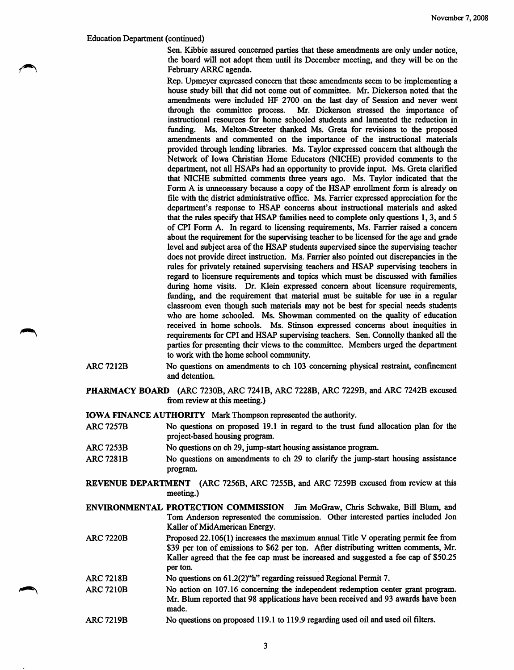## Education Department (continued)

Sen. Kibbie assured concerned parties that these amendments are only under notice, the board will not adopt them until its December meeting, and they will be on the February ARRC agenda.

Rep. Upmeyer expressed concern that these amendments seem to be implementing a house study bill that did not come out of committee. Mr. Dickerson noted that the amendments were included HF 2700 on the last day of Session and never went through the committee process. Mr. Dickerson stressed the importance of Mr. Dickerson stressed the importance of instructional resources for home schooled students and lamented the reduction in funding. Ms. Melton-Streeter thanked Ms. Greta for revisions to the proposed amendments and commented on the importance of the instructional materials provided through lending libraries. Ms. Taylor expressed concern that although the Network of Iowa Christian Home Educators (NICHE) provided comments to the department, not all HSAPs had an opportunity to provide input. Ms. Greta clarified that NICHE submitted comments three years ago. Ms. Taylor indicated that the Form A is unnecessary because a copy of the HSAP enrollment form is already on file with the district administrative office. Ms. Farrier expressed appreciation for the department's response to HSAP concems about instructional materials and asked that the rules specify that HSAP families need to complete only questions 1,3, and 5 of CPI Form A. In regard to licensing requirements, Ms. Farrier raised a concern about the requirement for the supervising teacher to be licensed for the age and grade level and subject area of the HSAP students supervised since the supervising teacher does not provide direct instruction. Ms. Farrier also pointed out discrepancies in the rules for privately retained supervising teachers and HSAP supervising teachers in regard to licensure requirements and topics which must be discussed with families during home visits. Dr. Klein expressed concern about licensure requirements, funding, and the requirement that material must be suitable for use in a regular classroom even though such materials may not be best for special needs students who are home schooled. Ms. Showman commented on the quality of education received in home schools. Ms. Stinson expressed concems about inequities in requirements for CPI and HSAP supervising teachers. Sen. Connolly thanked all the parties for presenting their views to the committee. Members urged the department to work with the home school community.

- ARC 7212B No questions on amendments to ch 103 concerning physical restraint, confinement and detention.
- PHARMACY BOARD (ARC 7230B, ARC 7241B, ARC 7228B, ARC 7229B, and ARC 7242B excused from review at this meeting.)

IOWA FINANCE AUTHORITY Mark Thompson represented the authority.

- ARC7257B No questions on proposed 19.1 in regard to the trust fund allocation plan for the project-based housing program.
- ARC 7253B No questions on ch 29, jump-start housing assistance program.
- ARC 728IB No questions on amendments to ch 29 to clarify the jump-start housing assistance program.
- REVENUE DEPARTMENT (ARC 7256B, ARC 7255B, and ARC 7259B excused from review at this meeting.)
- ENVIRONMENTAL PROTECTION COMMISSION Jim McGraw, Chris Schwake, Bill Blum, and Tom Anderson represented the commission. Other interested parties included Jon Kaller of MidAmerican Energy.
- ARC 7220B Proposed 22.106(1) increases the maximum annual Title V operating permit fee from \$39 per ton of emissions to \$62 per ton. After distributing written comments, Mr. Kaller agreed that the fee cap must be increased and suggested a fee cap of \$50.25 per ton.
- ARC 7218B No questions on 61.2(2)"h" regarding reissued Regional Permit 7.
- ARC 7210B No action on 107.16 concerning the independent redemption center grant program. Mr. Blum reported that 98 applications have been received and 93 awards have been made.
- ARC 7219B No questions on proposed 119.1 to 119.9 regarding used oil and used oil filters.